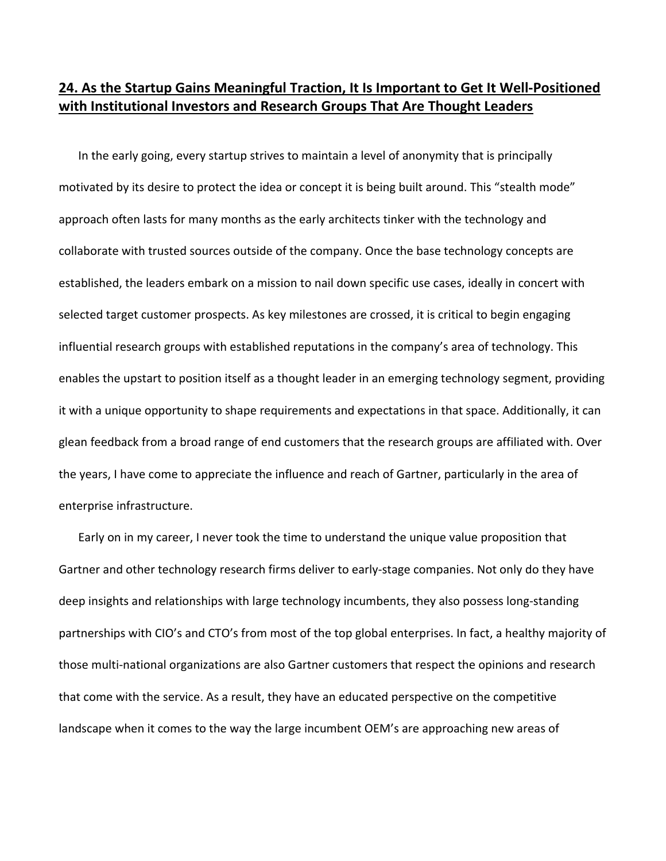## **24. As the Startup Gains Meaningful Traction, It Is Important to Get It Well‐Positioned with Institutional Investors and Research Groups That Are Thought Leaders**

In the early going, every startup strives to maintain a level of anonymity that is principally motivated by its desire to protect the idea or concept it is being built around. This "stealth mode" approach often lasts for many months as the early architects tinker with the technology and collaborate with trusted sources outside of the company. Once the base technology concepts are established, the leaders embark on a mission to nail down specific use cases, ideally in concert with selected target customer prospects. As key milestones are crossed, it is critical to begin engaging influential research groups with established reputations in the company's area of technology. This enables the upstart to position itself as a thought leader in an emerging technology segment, providing it with a unique opportunity to shape requirements and expectations in that space. Additionally, it can glean feedback from a broad range of end customers that the research groups are affiliated with. Over the years, I have come to appreciate the influence and reach of Gartner, particularly in the area of enterprise infrastructure.

Early on in my career, I never took the time to understand the unique value proposition that Gartner and other technology research firms deliver to early‐stage companies. Not only do they have deep insights and relationships with large technology incumbents, they also possess long‐standing partnerships with CIO's and CTO's from most of the top global enterprises. In fact, a healthy majority of those multi‐national organizations are also Gartner customers that respect the opinions and research that come with the service. As a result, they have an educated perspective on the competitive landscape when it comes to the way the large incumbent OEM's are approaching new areas of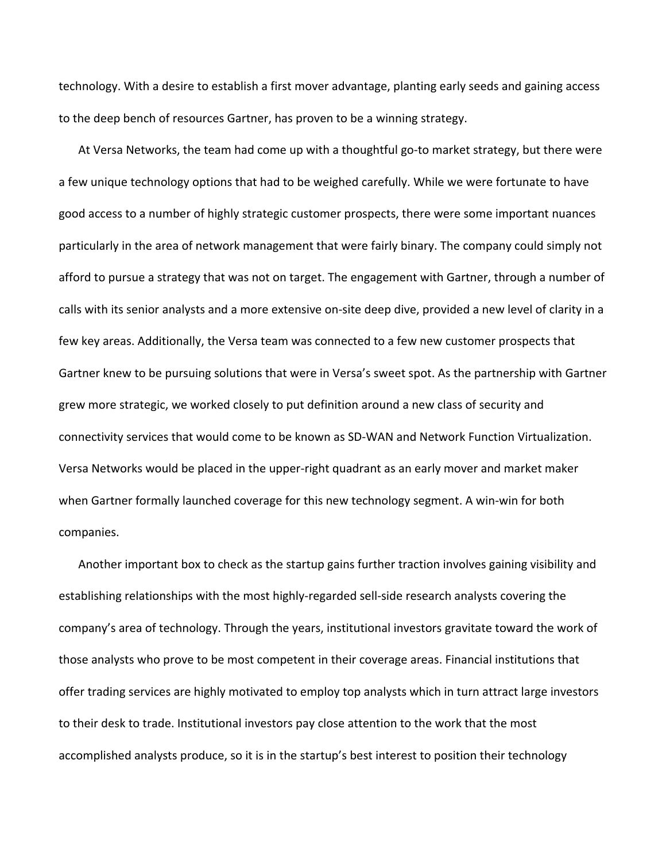technology. With a desire to establish a first mover advantage, planting early seeds and gaining access to the deep bench of resources Gartner, has proven to be a winning strategy.

At Versa Networks, the team had come up with a thoughtful go-to market strategy, but there were a few unique technology options that had to be weighed carefully. While we were fortunate to have good access to a number of highly strategic customer prospects, there were some important nuances particularly in the area of network management that were fairly binary. The company could simply not afford to pursue a strategy that was not on target. The engagement with Gartner, through a number of calls with its senior analysts and a more extensive on‐site deep dive, provided a new level of clarity in a few key areas. Additionally, the Versa team was connected to a few new customer prospects that Gartner knew to be pursuing solutions that were in Versa's sweet spot. As the partnership with Gartner grew more strategic, we worked closely to put definition around a new class of security and connectivity services that would come to be known as SD‐WAN and Network Function Virtualization. Versa Networks would be placed in the upper‐right quadrant as an early mover and market maker when Gartner formally launched coverage for this new technology segment. A win-win for both companies.

Another important box to check as the startup gains further traction involves gaining visibility and establishing relationships with the most highly‐regarded sell‐side research analysts covering the company's area of technology. Through the years, institutional investors gravitate toward the work of those analysts who prove to be most competent in their coverage areas. Financial institutions that offer trading services are highly motivated to employ top analysts which in turn attract large investors to their desk to trade. Institutional investors pay close attention to the work that the most accomplished analysts produce, so it is in the startup's best interest to position their technology